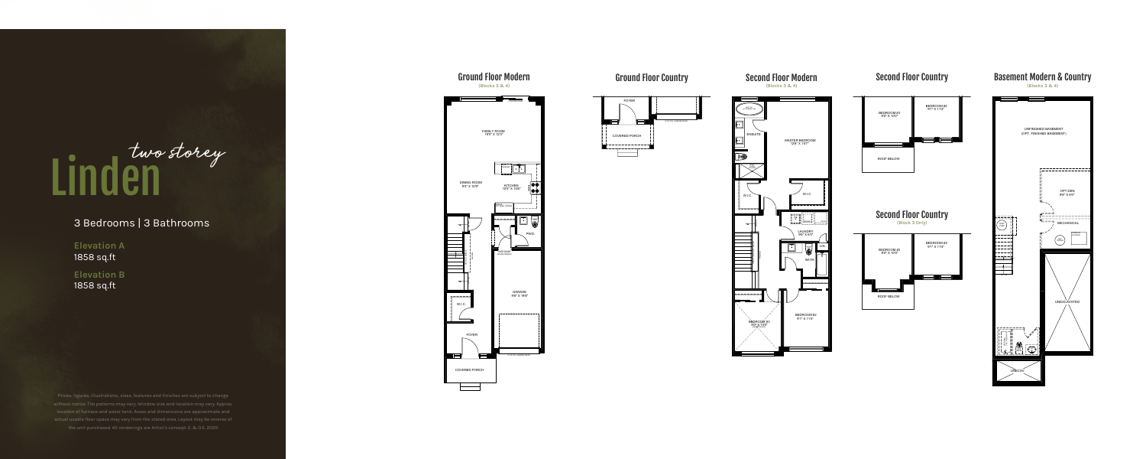# 3 Bedrooms | 3 Bathrooms

**Elevation A**  1858 sq.ft

# Linden two storey

**Elevation B** 1858 sq.ft